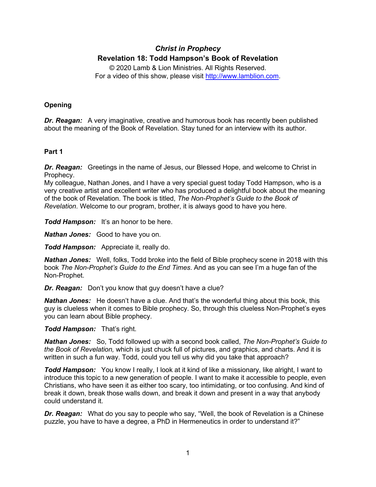# *Christ in Prophecy* **Revelation 18: Todd Hampson's Book of Revelation**

© 2020 Lamb & Lion Ministries. All Rights Reserved. For a video of this show, please visit [http://www.lamblion.com.](http://www.lamblion.com/)

## **Opening**

*Dr. Reagan:* A very imaginative, creative and humorous book has recently been published about the meaning of the Book of Revelation. Stay tuned for an interview with its author.

### **Part 1**

*Dr. Reagan:* Greetings in the name of Jesus, our Blessed Hope, and welcome to Christ in Prophecy.

My colleague, Nathan Jones, and I have a very special guest today Todd Hampson, who is a very creative artist and excellent writer who has produced a delightful book about the meaning of the book of Revelation. The book is titled, *The Non-Prophet's Guide to the Book of Revelation*. Welcome to our program, brother, it is always good to have you here.

*Todd Hampson:* It's an honor to be here.

*Nathan Jones:* Good to have you on.

*Todd Hampson:* Appreciate it, really do.

*Nathan Jones:* Well, folks, Todd broke into the field of Bible prophecy scene in 2018 with this book *The Non-Prophet's Guide to the End Times*. And as you can see I'm a huge fan of the Non-Prophet.

*Dr. Reagan:* Don't you know that guy doesn't have a clue?

**Nathan Jones:** He doesn't have a clue. And that's the wonderful thing about this book, this guy is clueless when it comes to Bible prophecy. So, through this clueless Non-Prophet's eyes you can learn about Bible prophecy.

### *Todd Hampson:* That's right.

*Nathan Jones:* So, Todd followed up with a second book called, *The Non-Prophet's Guide to the Book of Revelation,* which is just chuck full of pictures, and graphics, and charts. And it is written in such a fun way. Todd, could you tell us why did you take that approach?

*Todd Hampson:* You know I really, I look at it kind of like a missionary, like alright, I want to introduce this topic to a new generation of people. I want to make it accessible to people, even Christians, who have seen it as either too scary, too intimidating, or too confusing. And kind of break it down, break those walls down, and break it down and present in a way that anybody could understand it.

*Dr. Reagan:* What do you say to people who say, "Well, the book of Revelation is a Chinese puzzle, you have to have a degree, a PhD in Hermeneutics in order to understand it?"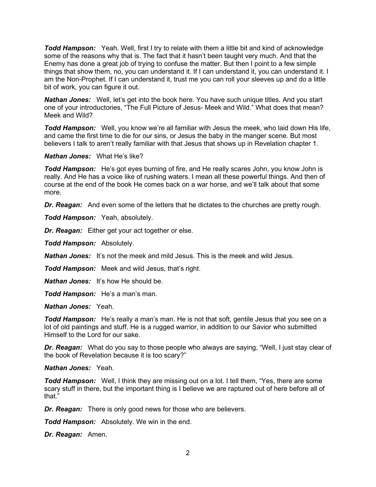*Todd Hampson:* Yeah. Well, first I try to relate with them a little bit and kind of acknowledge some of the reasons why that is. The fact that it hasn't been taught very much. And that the Enemy has done a great job of trying to confuse the matter. But then I point to a few simple things that show them, no, you can understand it. If I can understand it, you can understand it. I am the Non-Prophet. If I can understand it, trust me you can roll your sleeves up and do a little bit of work, you can figure it out.

*Nathan Jones:* Well, let's get into the book here. You have such unique titles. And you start one of your introductories, "The Full Picture of Jesus- Meek and Wild." What does that mean? Meek and Wild?

*Todd Hampson:* Well, you know we're all familiar with Jesus the meek, who laid down His life, and came the first time to die for our sins, or Jesus the baby in the manger scene. But most believers I talk to aren't really familiar with that Jesus that shows up in Revelation chapter 1.

*Nathan Jones:* What He's like?

*Todd Hampson:* He's got eyes burning of fire, and He really scares John, you know John is really. And He has a voice like of rushing waters. I mean all these powerful things. And then of course at the end of the book He comes back on a war horse, and we'll talk about that some more.

*Dr. Reagan:* And even some of the letters that he dictates to the churches are pretty rough.

*Todd Hampson:* Yeah, absolutely.

*Dr. Reagan:* Either get your act together or else.

*Todd Hampson:* Absolutely.

*Nathan Jones:* It's not the meek and mild Jesus. This is the meek and wild Jesus.

*Todd Hampson:* Meek and wild Jesus, that's right.

*Nathan Jones:* It's how He should be.

*Todd Hampson:* He's a man's man.

*Nathan Jones:* Yeah.

*Todd Hampson:* He's really a man's man. He is not that soft, gentile Jesus that you see on a lot of old paintings and stuff. He is a rugged warrior, in addition to our Savior who submitted Himself to the Lord for our sake.

*Dr. Reagan:* What do you say to those people who always are saying, "Well, I just stay clear of the book of Revelation because it is too scary?"

*Nathan Jones:* Yeah.

*Todd Hampson:* Well, I think they are missing out on a lot. I tell them, "Yes, there are some scary stuff in there, but the important thing is I believe we are raptured out of here before all of that."

*Dr. Reagan:* There is only good news for those who are believers.

*Todd Hampson:* Absolutely. We win in the end.

*Dr. Reagan:* Amen.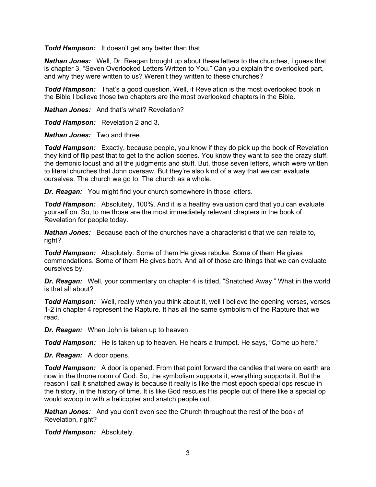*Todd Hampson:* It doesn't get any better than that.

*Nathan Jones:* Well, Dr. Reagan brought up about these letters to the churches, I guess that is chapter 3, "Seven Overlooked Letters Written to You." Can you explain the overlooked part, and why they were written to us? Weren't they written to these churches?

*Todd Hampson:* That's a good question. Well, if Revelation is the most overlooked book in the Bible I believe those two chapters are the most overlooked chapters in the Bible.

*Nathan Jones:* And that's what? Revelation?

*Todd Hampson:* Revelation 2 and 3.

*Nathan Jones:* Two and three.

*Todd Hampson:* Exactly, because people, you know if they do pick up the book of Revelation they kind of flip past that to get to the action scenes. You know they want to see the crazy stuff, the demonic locust and all the judgments and stuff. But, those seven letters, which were written to literal churches that John oversaw. But they're also kind of a way that we can evaluate ourselves. The church we go to. The church as a whole.

*Dr. Reagan:* You might find your church somewhere in those letters.

*Todd Hampson:* Absolutely, 100%. And it is a healthy evaluation card that you can evaluate yourself on. So, to me those are the most immediately relevant chapters in the book of Revelation for people today.

*Nathan Jones:* Because each of the churches have a characteristic that we can relate to, right?

*Todd Hampson:* Absolutely. Some of them He gives rebuke. Some of them He gives commendations. Some of them He gives both. And all of those are things that we can evaluate ourselves by.

*Dr. Reagan:* Well, your commentary on chapter 4 is titled, "Snatched Away." What in the world is that all about?

*Todd Hampson:* Well, really when you think about it, well I believe the opening verses, verses 1-2 in chapter 4 represent the Rapture. It has all the same symbolism of the Rapture that we read.

*Dr. Reagan:* When John is taken up to heaven.

*Todd Hampson:* He is taken up to heaven. He hears a trumpet. He says, "Come up here."

*Dr. Reagan:* A door opens.

*Todd Hampson:* A door is opened. From that point forward the candles that were on earth are now in the throne room of God. So, the symbolism supports it, everything supports it. But the reason I call it snatched away is because it really is like the most epoch special ops rescue in the history, in the history of time. It is like God rescues His people out of there like a special op would swoop in with a helicopter and snatch people out.

*Nathan Jones:* And you don't even see the Church throughout the rest of the book of Revelation, right?

*Todd Hampson:* Absolutely.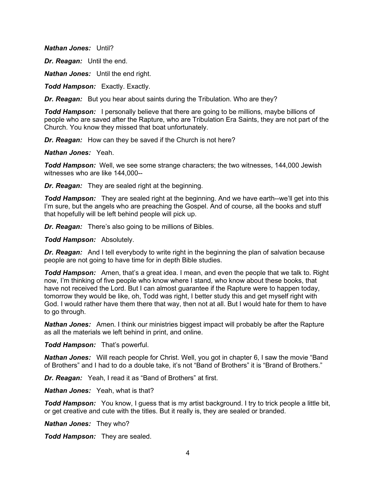*Nathan Jones:* Until?

*Dr. Reagan:* Until the end.

*Nathan Jones:* Until the end right.

*Todd Hampson:* Exactly. Exactly.

*Dr. Reagan:* But you hear about saints during the Tribulation. Who are they?

*Todd Hampson:* I personally believe that there are going to be millions, maybe billions of people who are saved after the Rapture, who are Tribulation Era Saints, they are not part of the Church. You know they missed that boat unfortunately.

*Dr. Reagan:* How can they be saved if the Church is not here?

*Nathan Jones:* Yeah.

*Todd Hampson:* Well, we see some strange characters; the two witnesses, 144,000 Jewish witnesses who are like 144,000--

*Dr. Reagan:* They are sealed right at the beginning.

*Todd Hampson:* They are sealed right at the beginning. And we have earth--we'll get into this I'm sure, but the angels who are preaching the Gospel. And of course, all the books and stuff that hopefully will be left behind people will pick up.

*Dr. Reagan:* There's also going to be millions of Bibles.

*Todd Hampson:* Absolutely.

**Dr. Reagan:** And I tell everybody to write right in the beginning the plan of salvation because people are not going to have time for in depth Bible studies.

*Todd Hampson:* Amen, that's a great idea. I mean, and even the people that we talk to. Right now, I'm thinking of five people who know where I stand, who know about these books, that have not received the Lord. But I can almost guarantee if the Rapture were to happen today, tomorrow they would be like, oh, Todd was right, I better study this and get myself right with God. I would rather have them there that way, then not at all. But I would hate for them to have to go through.

*Nathan Jones:* Amen. I think our ministries biggest impact will probably be after the Rapture as all the materials we left behind in print, and online.

*Todd Hampson:* That's powerful.

**Nathan Jones:** Will reach people for Christ. Well, you got in chapter 6, I saw the movie "Band" of Brothers" and I had to do a double take, it's not "Band of Brothers" it is "Brand of Brothers."

*Dr. Reagan:* Yeah, I read it as "Band of Brothers" at first.

*Nathan Jones:* Yeah, what is that?

*Todd Hampson:* You know, I guess that is my artist background. I try to trick people a little bit, or get creative and cute with the titles. But it really is, they are sealed or branded.

*Nathan Jones:* They who?

*Todd Hampson:* They are sealed.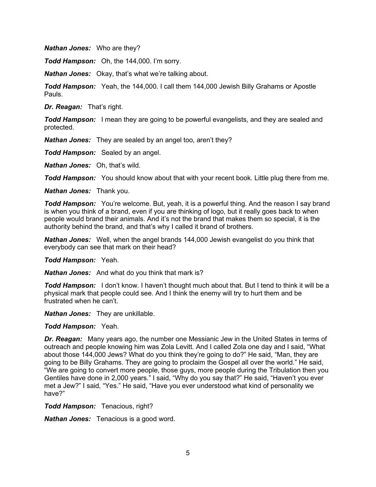*Nathan Jones:* Who are they?

*Todd Hampson:* Oh, the 144,000. I'm sorry.

*Nathan Jones:* Okay, that's what we're talking about.

*Todd Hampson:* Yeah, the 144,000. I call them 144,000 Jewish Billy Grahams or Apostle Pauls.

*Dr. Reagan:* That's right.

*Todd Hampson:* I mean they are going to be powerful evangelists, and they are sealed and protected.

*Nathan Jones:* They are sealed by an angel too, aren't they?

*Todd Hampson:* Sealed by an angel.

*Nathan Jones:* Oh, that's wild.

*Todd Hampson:* You should know about that with your recent book. Little plug there from me.

*Nathan Jones:* Thank you.

*Todd Hampson:* You're welcome. But, yeah, it is a powerful thing. And the reason I say brand is when you think of a brand, even if you are thinking of logo, but it really goes back to when people would brand their animals. And it's not the brand that makes them so special, it is the authority behind the brand, and that's why I called it brand of brothers.

*Nathan Jones:* Well, when the angel brands 144,000 Jewish evangelist do you think that everybody can see that mark on their head?

*Todd Hampson:* Yeah.

*Nathan Jones:* And what do you think that mark is?

*Todd Hampson:* I don't know. I haven't thought much about that. But I tend to think it will be a physical mark that people could see. And I think the enemy will try to hurt them and be frustrated when he can't.

*Nathan Jones:* They are unkillable.

#### *Todd Hampson:* Yeah.

*Dr. Reagan:* Many years ago, the number one Messianic Jew in the United States in terms of outreach and people knowing him was Zola Levitt. And I called Zola one day and I said, "What about those 144,000 Jews? What do you think they're going to do?" He said, "Man, they are going to be Billy Grahams. They are going to proclaim the Gospel all over the world." He said, "We are going to convert more people, those guys, more people during the Tribulation then you Gentiles have done in 2,000 years." I said, "Why do you say that?" He said, "Haven't you ever met a Jew?" I said, "Yes." He said, "Have you ever understood what kind of personality we have?"

*Todd Hampson:* Tenacious, right?

*Nathan Jones:* Tenacious is a good word.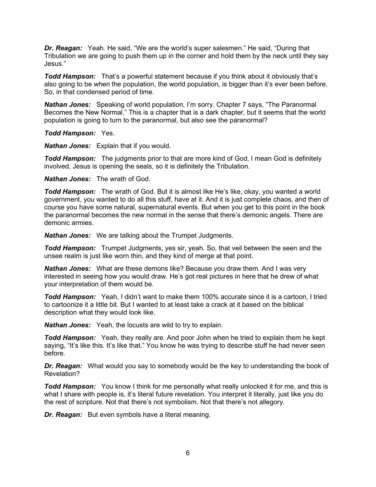*Dr. Reagan:* Yeah. He said, "We are the world's super salesmen." He said, "During that Tribulation we are going to push them up in the corner and hold them by the neck until they say Jesus."

*Todd Hampson:* That's a powerful statement because if you think about it obviously that's also going to be when the population, the world population, is bigger than it's ever been before. So, in that condensed period of time.

*Nathan Jones:* Speaking of world population, I'm sorry. Chapter 7 says, "The Paranormal Becomes the New Normal." This is a chapter that is a dark chapter, but it seems that the world population is going to turn to the paranormal, but also see the paranormal?

*Todd Hampson:* Yes.

*Nathan Jones:* Explain that if you would.

*Todd Hampson:* The judgments prior to that are more kind of God, I mean God is definitely involved, Jesus is opening the seals, so it is definitely the Tribulation.

*Nathan Jones:* The wrath of God.

*Todd Hampson:* The wrath of God. But it is almost like He's like, okay, you wanted a world government, you wanted to do all this stuff, have at it. And it is just complete chaos, and then of course you have some natural, supernatural events. But when you get to this point in the book the paranormal becomes the new normal in the sense that there's demonic angels. There are demonic armies.

*Nathan Jones:* We are talking about the Trumpet Judgments.

*Todd Hampson:* Trumpet Judgments, yes sir, yeah. So, that veil between the seen and the unsee realm is just like worn thin, and they kind of merge at that point.

*Nathan Jones:* What are these demons like? Because you draw them. And I was very interested in seeing how you would draw. He's got real pictures in here that he drew of what your interpretation of them would be.

*Todd Hampson:* Yeah, I didn't want to make them 100% accurate since it is a cartoon, I tried to cartoonize it a little bit. But I wanted to at least take a crack at it based on the biblical description what they would look like.

*Nathan Jones:* Yeah, the locusts are wild to try to explain.

*Todd Hampson:* Yeah, they really are. And poor John when he tried to explain them he kept saying, "It's like this. It's like that." You know he was trying to describe stuff he had never seen before.

*Dr. Reagan:* What would you say to somebody would be the key to understanding the book of Revelation?

*Todd Hampson:* You know I think for me personally what really unlocked it for me, and this is what I share with people is, it's literal future revelation. You interpret it literally, just like you do the rest of scripture. Not that there's not symbolism. Not that there's not allegory.

*Dr. Reagan:* But even symbols have a literal meaning.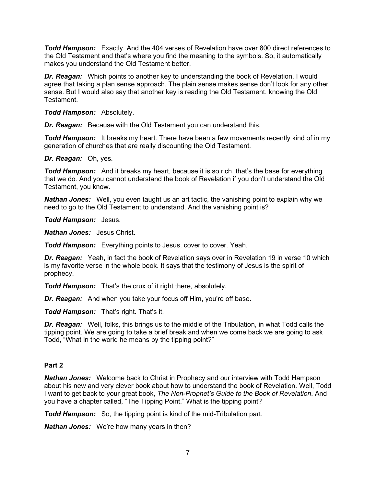*Todd Hampson:* Exactly. And the 404 verses of Revelation have over 800 direct references to the Old Testament and that's where you find the meaning to the symbols. So, it automatically makes you understand the Old Testament better.

*Dr. Reagan:* Which points to another key to understanding the book of Revelation. I would agree that taking a plan sense approach. The plain sense makes sense don't look for any other sense. But I would also say that another key is reading the Old Testament, knowing the Old Testament.

*Todd Hampson:* Absolutely.

*Dr. Reagan:* Because with the Old Testament you can understand this.

*Todd Hampson:* It breaks my heart. There have been a few movements recently kind of in my generation of churches that are really discounting the Old Testament.

*Dr. Reagan:* Oh, yes.

*Todd Hampson:* And it breaks my heart, because it is so rich, that's the base for everything that we do. And you cannot understand the book of Revelation if you don't understand the Old Testament, you know.

*Nathan Jones:* Well, you even taught us an art tactic, the vanishing point to explain why we need to go to the Old Testament to understand. And the vanishing point is?

*Todd Hampson:* Jesus.

*Nathan Jones:* Jesus Christ.

*Todd Hampson:* Everything points to Jesus, cover to cover. Yeah.

*Dr. Reagan:* Yeah, in fact the book of Revelation says over in Revelation 19 in verse 10 which is my favorite verse in the whole book. It says that the testimony of Jesus is the spirit of prophecy.

*Todd Hampson:* That's the crux of it right there, absolutely.

*Dr. Reagan:* And when you take your focus off Him, you're off base.

*Todd Hampson:* That's right. That's it.

*Dr. Reagan:* Well, folks, this brings us to the middle of the Tribulation, in what Todd calls the tipping point. We are going to take a brief break and when we come back we are going to ask Todd, "What in the world he means by the tipping point?"

### **Part 2**

*Nathan Jones:* Welcome back to Christ in Prophecy and our interview with Todd Hampson about his new and very clever book about how to understand the book of Revelation. Well, Todd I want to get back to your great book, *The Non-Prophet's Guide to the Book of Revelation*. And you have a chapter called, "The Tipping Point." What is the tipping point?

*Todd Hampson:* So, the tipping point is kind of the mid-Tribulation part.

*Nathan Jones:* We're how many years in then?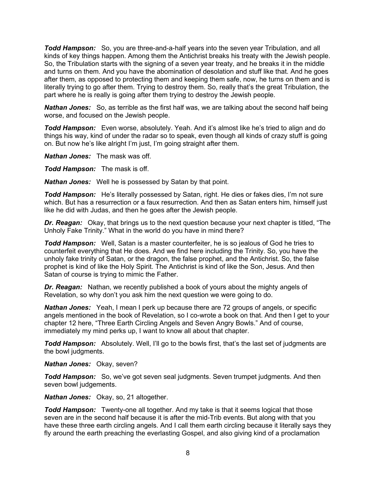*Todd Hampson:* So, you are three-and-a-half years into the seven year Tribulation, and all kinds of key things happen. Among them the Antichrist breaks his treaty with the Jewish people. So, the Tribulation starts with the signing of a seven year treaty, and he breaks it in the middle and turns on them. And you have the abomination of desolation and stuff like that. And he goes after them, as opposed to protecting them and keeping them safe, now, he turns on them and is literally trying to go after them. Trying to destroy them. So, really that's the great Tribulation, the part where he is really is going after them trying to destroy the Jewish people.

*Nathan Jones:* So, as terrible as the first half was, we are talking about the second half being worse, and focused on the Jewish people.

*Todd Hampson:* Even worse, absolutely. Yeah. And it's almost like he's tried to align and do things his way, kind of under the radar so to speak, even though all kinds of crazy stuff is going on. But now he's like alright I'm just, I'm going straight after them.

*Nathan Jones:* The mask was off.

*Todd Hampson:* The mask is off.

*Nathan Jones:* Well he is possessed by Satan by that point.

*Todd Hampson:* He's literally possessed by Satan, right. He dies or fakes dies, I'm not sure which. But has a resurrection or a faux resurrection. And then as Satan enters him, himself just like he did with Judas, and then he goes after the Jewish people.

*Dr. Reagan:* Okay, that brings us to the next question because your next chapter is titled, "The Unholy Fake Trinity." What in the world do you have in mind there?

*Todd Hampson:* Well, Satan is a master counterfeiter, he is so jealous of God he tries to counterfeit everything that He does. And we find here including the Trinity. So, you have the unholy fake trinity of Satan, or the dragon, the false prophet, and the Antichrist. So, the false prophet is kind of like the Holy Spirit. The Antichrist is kind of like the Son, Jesus. And then Satan of course is trying to mimic the Father.

*Dr. Reagan:* Nathan, we recently published a book of yours about the mighty angels of Revelation, so why don't you ask him the next question we were going to do.

*Nathan Jones:* Yeah, I mean I perk up because there are 72 groups of angels, or specific angels mentioned in the book of Revelation, so I co-wrote a book on that. And then I get to your chapter 12 here, "Three Earth Circling Angels and Seven Angry Bowls." And of course, immediately my mind perks up, I want to know all about that chapter.

*Todd Hampson:* Absolutely. Well, I'll go to the bowls first, that's the last set of judgments are the bowl judgments.

*Nathan Jones:* Okay, seven?

*Todd Hampson:* So, we've got seven seal judgments. Seven trumpet judgments. And then seven bowl judgements.

*Nathan Jones:* Okay, so, 21 altogether.

**Todd Hampson:** Twenty-one all together. And my take is that it seems logical that those seven are in the second half because it is after the mid-Trib events. But along with that you have these three earth circling angels. And I call them earth circling because it literally says they fly around the earth preaching the everlasting Gospel, and also giving kind of a proclamation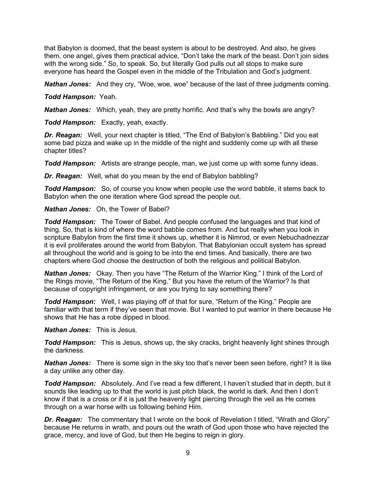that Babylon is doomed, that the beast system is about to be destroyed. And also, he gives them, one angel, gives them practical advice, "Don't take the mark of the beast. Don't join sides with the wrong side." So, to speak. So, but literally God pulls out all stops to make sure everyone has heard the Gospel even in the middle of the Tribulation and God's judgment.

**Nathan Jones:** And they cry, "Woe, woe, woe" because of the last of three judgments coming.

*Todd Hampson:* Yeah.

*Nathan Jones:* Which, yeah, they are pretty horrific. And that's why the bowls are angry?

*Todd Hampson:* Exactly, yeah, exactly.

*Dr. Reagan:* Well, your next chapter is titled, "The End of Babylon's Babbling." Did you eat some bad pizza and wake up in the middle of the night and suddenly come up with all these chapter titles?

*Todd Hampson:* Artists are strange people, man, we just come up with some funny ideas.

*Dr. Reagan:* Well, what do you mean by the end of Babylon babbling?

*Todd Hampson:* So, of course you know when people use the word babble, it stems back to Babylon when the one iteration where God spread the people out.

*Nathan Jones:* Oh, the Tower of Babel?

*Todd Hampson:* The Tower of Babel. And people confused the languages and that kind of thing. So, that is kind of where the word babble comes from. And but really when you look in scripture Babylon from the first time it shows up, whether it is Nimrod, or even Nebuchadnezzar it is evil proliferates around the world from Babylon. That Babylonian occult system has spread all throughout the world and is going to be into the end times. And basically, there are two chapters where God choose the destruction of both the religious and political Babylon.

*Nathan Jones:* Okay. Then you have "The Return of the Warrior King." I think of the Lord of the Rings movie, "The Return of the King." But you have the return of the Warrior? Is that because of copyright infringement, or are you trying to say something there?

*Todd Hampson:* Well, I was playing off of that for sure, "Return of the King." People are familiar with that term if they've seen that movie. But I wanted to put warrior in there because He shows that He has a robe dipped in blood.

*Nathan Jones:* This is Jesus.

*Todd Hampson:* This is Jesus, shows up, the sky cracks, bright heavenly light shines through the darkness.

*Nathan Jones:* There is some sign in the sky too that's never been seen before, right? It is like a day unlike any other day.

*Todd Hampson:* Absolutely. And I've read a few different, I haven't studied that in depth, but it sounds like leading up to that the world is just pitch black, the world is dark. And then I don't know if that is a cross or if it is just the heavenly light piercing through the veil as He comes through on a war horse with us following behind Him.

**Dr. Reagan:** The commentary that I wrote on the book of Revelation I titled, "Wrath and Glory" because He returns in wrath, and pours out the wrath of God upon those who have rejected the grace, mercy, and love of God, but then He begins to reign in glory.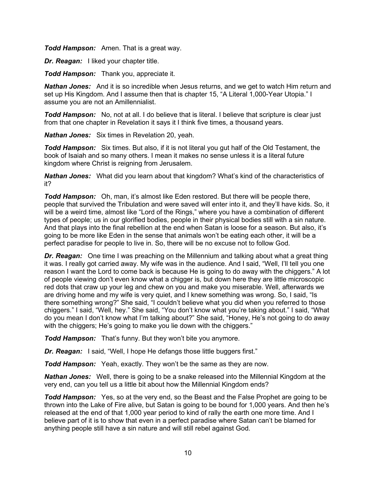*Todd Hampson:* Amen. That is a great way.

*Dr. Reagan:* I liked your chapter title.

*Todd Hampson:* Thank you, appreciate it.

*Nathan Jones:* And it is so incredible when Jesus returns, and we get to watch Him return and set up His Kingdom. And I assume then that is chapter 15, "A Literal 1,000-Year Utopia." I assume you are not an Amillennialist.

*Todd Hampson:* No, not at all. I do believe that is literal. I believe that scripture is clear just from that one chapter in Revelation it says it I think five times, a thousand years.

*Nathan Jones:* Six times in Revelation 20, yeah.

*Todd Hampson:* Six times. But also, if it is not literal you gut half of the Old Testament, the book of Isaiah and so many others. I mean it makes no sense unless it is a literal future kingdom where Christ is reigning from Jerusalem.

*Nathan Jones:* What did you learn about that kingdom? What's kind of the characteristics of it?

*Todd Hampson:* Oh, man, it's almost like Eden restored. But there will be people there, people that survived the Tribulation and were saved will enter into it, and they'll have kids. So, it will be a weird time, almost like "Lord of the Rings," where you have a combination of different types of people; us in our glorified bodies, people in their physical bodies still with a sin nature. And that plays into the final rebellion at the end when Satan is loose for a season. But also, it's going to be more like Eden in the sense that animals won't be eating each other, it will be a perfect paradise for people to live in. So, there will be no excuse not to follow God.

*Dr. Reagan:* One time I was preaching on the Millennium and talking about what a great thing it was. I really got carried away. My wife was in the audience. And I said, "Well, I'll tell you one reason I want the Lord to come back is because He is going to do away with the chiggers." A lot of people viewing don't even know what a chigger is, but down here they are little microscopic red dots that craw up your leg and chew on you and make you miserable. Well, afterwards we are driving home and my wife is very quiet, and I knew something was wrong. So, I said, "Is there something wrong?" She said, "I couldn't believe what you did when you referred to those chiggers." I said, "Well, hey." She said, "You don't know what you're taking about." I said, "What do you mean I don't know what I'm talking about?" She said, "Honey, He's not going to do away with the chiggers; He's going to make you lie down with the chiggers."

*Todd Hampson:* That's funny. But they won't bite you anymore.

**Dr. Reagan:** I said, "Well, I hope He defangs those little buggers first."

*Todd Hampson:* Yeah, exactly. They won't be the same as they are now.

*Nathan Jones:* Well, there is going to be a snake released into the Millennial Kingdom at the very end, can you tell us a little bit about how the Millennial Kingdom ends?

*Todd Hampson:* Yes, so at the very end, so the Beast and the False Prophet are going to be thrown into the Lake of Fire alive, but Satan is going to be bound for 1,000 years. And then he's released at the end of that 1,000 year period to kind of rally the earth one more time. And I believe part of it is to show that even in a perfect paradise where Satan can't be blamed for anything people still have a sin nature and will still rebel against God.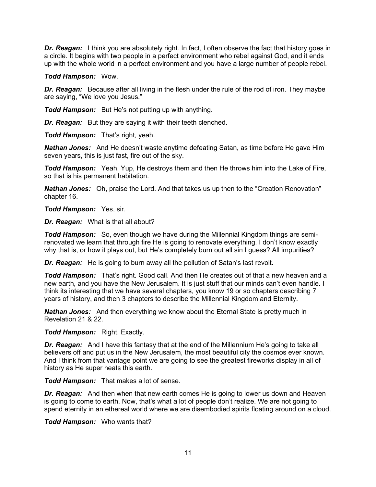*Dr. Reagan:* I think you are absolutely right. In fact, I often observe the fact that history goes in a circle. It begins with two people in a perfect environment who rebel against God, and it ends up with the whole world in a perfect environment and you have a large number of people rebel.

#### *Todd Hampson:* Wow.

*Dr. Reagan:* Because after all living in the flesh under the rule of the rod of iron. They maybe are saying, "We love you Jesus."

*Todd Hampson:* But He's not putting up with anything.

*Dr. Reagan:* But they are saying it with their teeth clenched.

*Todd Hampson:* That's right, yeah.

*Nathan Jones:* And He doesn't waste anytime defeating Satan, as time before He gave Him seven years, this is just fast, fire out of the sky.

*Todd Hampson:* Yeah. Yup, He destroys them and then He throws him into the Lake of Fire, so that is his permanent habitation.

*Nathan Jones:* Oh, praise the Lord. And that takes us up then to the "Creation Renovation" chapter 16.

*Todd Hampson:* Yes, sir.

*Dr. Reagan:* What is that all about?

*Todd Hampson:* So, even though we have during the Millennial Kingdom things are semirenovated we learn that through fire He is going to renovate everything. I don't know exactly why that is, or how it plays out, but He's completely burn out all sin I guess? All impurities?

*Dr. Reagan:* He is going to burn away all the pollution of Satan's last revolt.

*Todd Hampson:* That's right. Good call. And then He creates out of that a new heaven and a new earth, and you have the New Jerusalem. It is just stuff that our minds can't even handle. I think its interesting that we have several chapters, you know 19 or so chapters describing 7 years of history, and then 3 chapters to describe the Millennial Kingdom and Eternity.

*Nathan Jones:* And then everything we know about the Eternal State is pretty much in Revelation 21 & 22.

*Todd Hampson:* Right. Exactly.

**Dr. Reagan:** And I have this fantasy that at the end of the Millennium He's going to take all believers off and put us in the New Jerusalem, the most beautiful city the cosmos ever known. And I think from that vantage point we are going to see the greatest fireworks display in all of history as He super heats this earth.

*Todd Hampson:* That makes a lot of sense.

*Dr. Reagan:* And then when that new earth comes He is going to lower us down and Heaven is going to come to earth. Now, that's what a lot of people don't realize. We are not going to spend eternity in an ethereal world where we are disembodied spirits floating around on a cloud.

*Todd Hampson:* Who wants that?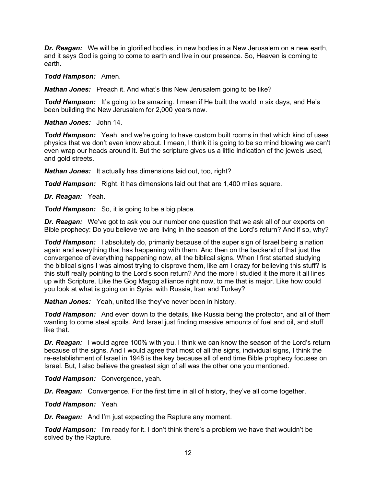*Dr. Reagan:* We will be in glorified bodies, in new bodies in a New Jerusalem on a new earth, and it says God is going to come to earth and live in our presence. So, Heaven is coming to earth.

*Todd Hampson:* Amen.

**Nathan Jones:** Preach it. And what's this New Jerusalem going to be like?

**Todd Hampson:** It's going to be amazing. I mean if He built the world in six days, and He's been building the New Jerusalem for 2,000 years now.

*Nathan Jones:* John 14.

**Todd Hampson:** Yeah, and we're going to have custom built rooms in that which kind of uses physics that we don't even know about. I mean, I think it is going to be so mind blowing we can't even wrap our heads around it. But the scripture gives us a little indication of the jewels used, and gold streets.

*Nathan Jones:* It actually has dimensions laid out, too, right?

*Todd Hampson:* Right, it has dimensions laid out that are 1,400 miles square.

*Dr. Reagan:* Yeah.

*Todd Hampson:* So, it is going to be a big place.

*Dr. Reagan:* We've got to ask you our number one question that we ask all of our experts on Bible prophecy: Do you believe we are living in the season of the Lord's return? And if so, why?

**Todd Hampson:** I absolutely do, primarily because of the super sign of Israel being a nation again and everything that has happening with them. And then on the backend of that just the convergence of everything happening now, all the biblical signs. When I first started studying the biblical signs I was almost trying to disprove them, like am I crazy for believing this stuff? Is this stuff really pointing to the Lord's soon return? And the more I studied it the more it all lines up with Scripture. Like the Gog Magog alliance right now, to me that is major. Like how could you look at what is going on in Syria, with Russia, Iran and Turkey?

*Nathan Jones:* Yeah, united like they've never been in history.

*Todd Hampson:* And even down to the details, like Russia being the protector, and all of them wanting to come steal spoils. And Israel just finding massive amounts of fuel and oil, and stuff like that.

**Dr. Reagan:** I would agree 100% with you. I think we can know the season of the Lord's return because of the signs. And I would agree that most of all the signs, individual signs, I think the re-establishment of Israel in 1948 is the key because all of end time Bible prophecy focuses on Israel. But, I also believe the greatest sign of all was the other one you mentioned.

*Todd Hampson:* Convergence, yeah.

*Dr. Reagan:* Convergence. For the first time in all of history, they've all come together.

*Todd Hampson:* Yeah.

*Dr. Reagan:* And I'm just expecting the Rapture any moment.

*Todd Hampson:* I'm ready for it. I don't think there's a problem we have that wouldn't be solved by the Rapture.